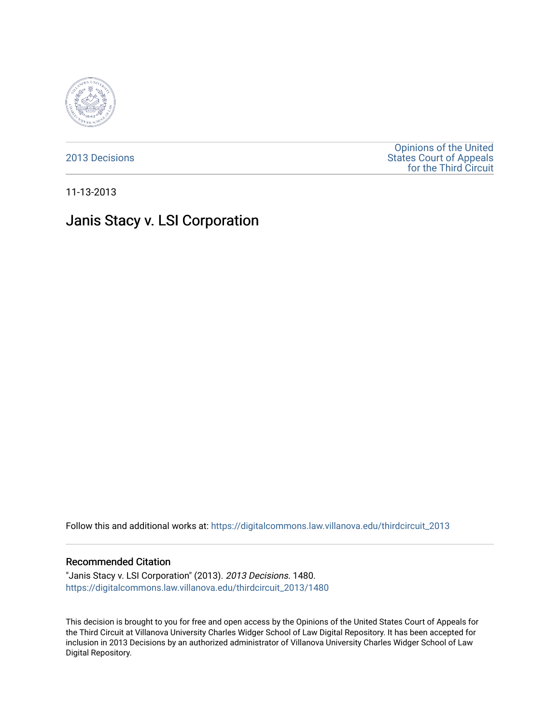

[2013 Decisions](https://digitalcommons.law.villanova.edu/thirdcircuit_2013)

[Opinions of the United](https://digitalcommons.law.villanova.edu/thirdcircuit)  [States Court of Appeals](https://digitalcommons.law.villanova.edu/thirdcircuit)  [for the Third Circuit](https://digitalcommons.law.villanova.edu/thirdcircuit) 

11-13-2013

# Janis Stacy v. LSI Corporation

Follow this and additional works at: [https://digitalcommons.law.villanova.edu/thirdcircuit\\_2013](https://digitalcommons.law.villanova.edu/thirdcircuit_2013?utm_source=digitalcommons.law.villanova.edu%2Fthirdcircuit_2013%2F1480&utm_medium=PDF&utm_campaign=PDFCoverPages) 

#### Recommended Citation

"Janis Stacy v. LSI Corporation" (2013). 2013 Decisions. 1480. [https://digitalcommons.law.villanova.edu/thirdcircuit\\_2013/1480](https://digitalcommons.law.villanova.edu/thirdcircuit_2013/1480?utm_source=digitalcommons.law.villanova.edu%2Fthirdcircuit_2013%2F1480&utm_medium=PDF&utm_campaign=PDFCoverPages) 

This decision is brought to you for free and open access by the Opinions of the United States Court of Appeals for the Third Circuit at Villanova University Charles Widger School of Law Digital Repository. It has been accepted for inclusion in 2013 Decisions by an authorized administrator of Villanova University Charles Widger School of Law Digital Repository.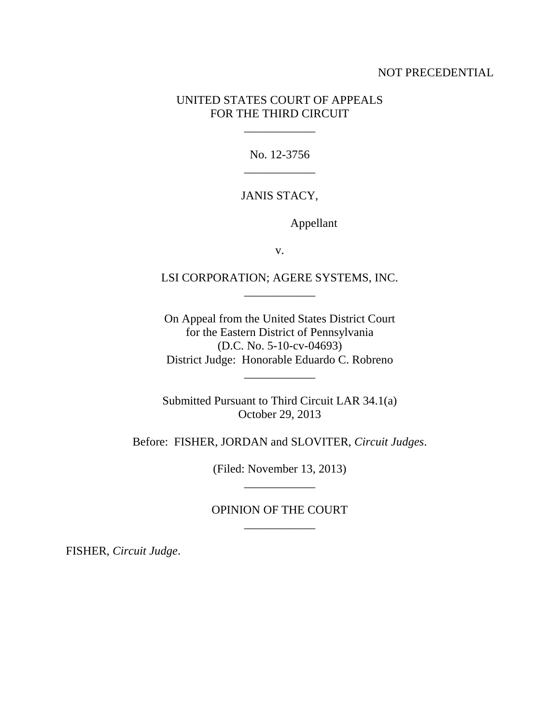## NOT PRECEDENTIAL

## UNITED STATES COURT OF APPEALS FOR THE THIRD CIRCUIT

\_\_\_\_\_\_\_\_\_\_\_\_

No. 12-3756 \_\_\_\_\_\_\_\_\_\_\_\_

# JANIS STACY,

Appellant

v.

LSI CORPORATION; AGERE SYSTEMS, INC. \_\_\_\_\_\_\_\_\_\_\_\_

On Appeal from the United States District Court for the Eastern District of Pennsylvania (D.C. No. 5-10-cv-04693) District Judge: Honorable Eduardo C. Robreno

\_\_\_\_\_\_\_\_\_\_\_\_

Submitted Pursuant to Third Circuit LAR 34.1(a) October 29, 2013

Before: FISHER, JORDAN and SLOVITER, *Circuit Judges*.

(Filed: November 13, 2013) \_\_\_\_\_\_\_\_\_\_\_\_

## OPINION OF THE COURT \_\_\_\_\_\_\_\_\_\_\_\_

FISHER, *Circuit Judge*.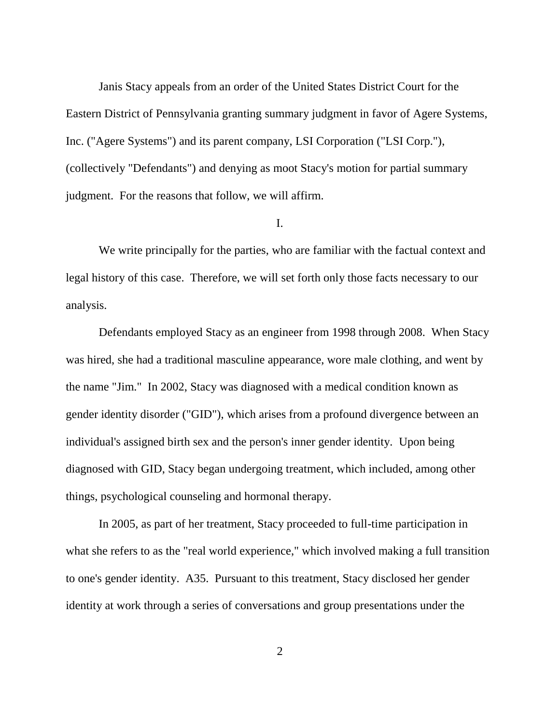Janis Stacy appeals from an order of the United States District Court for the Eastern District of Pennsylvania granting summary judgment in favor of Agere Systems, Inc. ("Agere Systems") and its parent company, LSI Corporation ("LSI Corp."), (collectively "Defendants") and denying as moot Stacy's motion for partial summary judgment. For the reasons that follow, we will affirm.

## I.

We write principally for the parties, who are familiar with the factual context and legal history of this case. Therefore, we will set forth only those facts necessary to our analysis.

Defendants employed Stacy as an engineer from 1998 through 2008. When Stacy was hired, she had a traditional masculine appearance, wore male clothing, and went by the name "Jim." In 2002, Stacy was diagnosed with a medical condition known as gender identity disorder ("GID"), which arises from a profound divergence between an individual's assigned birth sex and the person's inner gender identity. Upon being diagnosed with GID, Stacy began undergoing treatment, which included, among other things, psychological counseling and hormonal therapy.

In 2005, as part of her treatment, Stacy proceeded to full-time participation in what she refers to as the "real world experience," which involved making a full transition to one's gender identity. A35. Pursuant to this treatment, Stacy disclosed her gender identity at work through a series of conversations and group presentations under the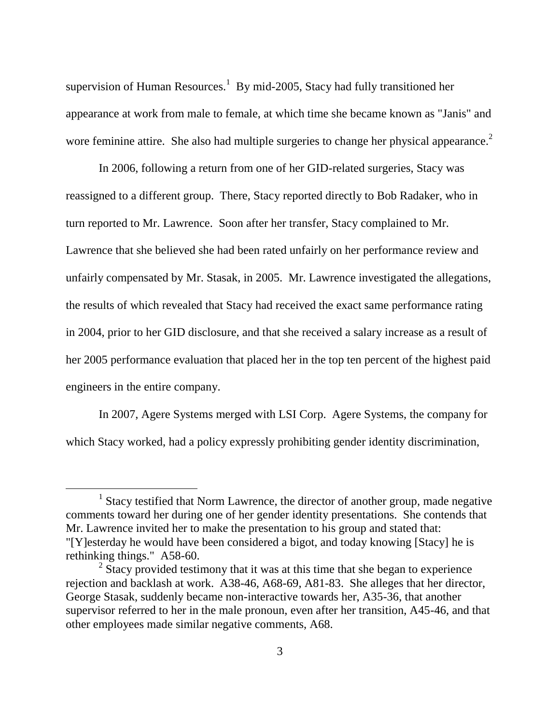supervision of Human Resources.<sup>1</sup> By mid-2005, Stacy had fully transitioned her appearance at work from male to female, at which time she became known as "Janis" and wore feminine attire. She also had multiple surgeries to change her physical appearance.<sup>2</sup>

In 2006, following a return from one of her GID-related surgeries, Stacy was reassigned to a different group. There, Stacy reported directly to Bob Radaker, who in turn reported to Mr. Lawrence. Soon after her transfer, Stacy complained to Mr. Lawrence that she believed she had been rated unfairly on her performance review and unfairly compensated by Mr. Stasak, in 2005. Mr. Lawrence investigated the allegations, the results of which revealed that Stacy had received the exact same performance rating in 2004, prior to her GID disclosure, and that she received a salary increase as a result of her 2005 performance evaluation that placed her in the top ten percent of the highest paid engineers in the entire company.

In 2007, Agere Systems merged with LSI Corp. Agere Systems, the company for which Stacy worked, had a policy expressly prohibiting gender identity discrimination,

<sup>&</sup>lt;sup>1</sup> Stacy testified that Norm Lawrence, the director of another group, made negative comments toward her during one of her gender identity presentations. She contends that Mr. Lawrence invited her to make the presentation to his group and stated that: "[Y]esterday he would have been considered a bigot, and today knowing [Stacy] he is rethinking things." A58-60.

 $2 \text{ Stary}$  provided testimony that it was at this time that she began to experience rejection and backlash at work. A38-46, A68-69, A81-83. She alleges that her director, George Stasak, suddenly became non-interactive towards her, A35-36, that another supervisor referred to her in the male pronoun, even after her transition, A45-46, and that other employees made similar negative comments, A68.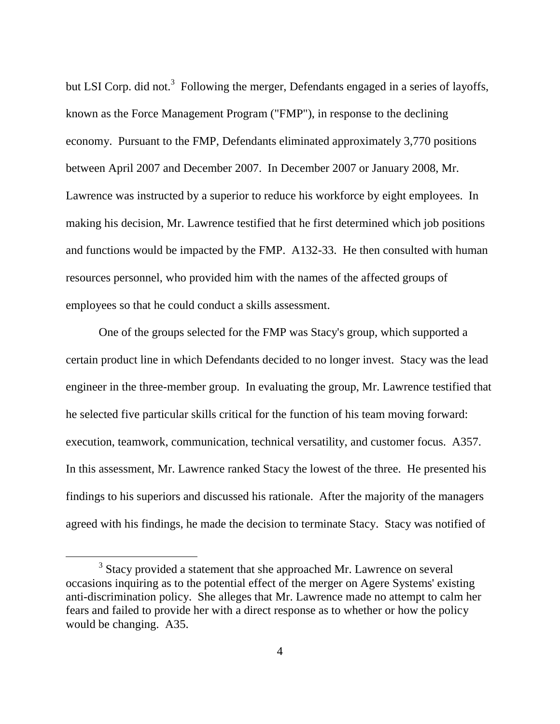but LSI Corp. did not.<sup>3</sup> Following the merger, Defendants engaged in a series of layoffs, known as the Force Management Program ("FMP"), in response to the declining economy. Pursuant to the FMP, Defendants eliminated approximately 3,770 positions between April 2007 and December 2007. In December 2007 or January 2008, Mr. Lawrence was instructed by a superior to reduce his workforce by eight employees. In making his decision, Mr. Lawrence testified that he first determined which job positions and functions would be impacted by the FMP. A132-33. He then consulted with human resources personnel, who provided him with the names of the affected groups of employees so that he could conduct a skills assessment.

One of the groups selected for the FMP was Stacy's group, which supported a certain product line in which Defendants decided to no longer invest. Stacy was the lead engineer in the three-member group. In evaluating the group, Mr. Lawrence testified that he selected five particular skills critical for the function of his team moving forward: execution, teamwork, communication, technical versatility, and customer focus. A357. In this assessment, Mr. Lawrence ranked Stacy the lowest of the three. He presented his findings to his superiors and discussed his rationale. After the majority of the managers agreed with his findings, he made the decision to terminate Stacy. Stacy was notified of

 $3$  Stacy provided a statement that she approached Mr. Lawrence on several occasions inquiring as to the potential effect of the merger on Agere Systems' existing anti-discrimination policy. She alleges that Mr. Lawrence made no attempt to calm her fears and failed to provide her with a direct response as to whether or how the policy would be changing. A35.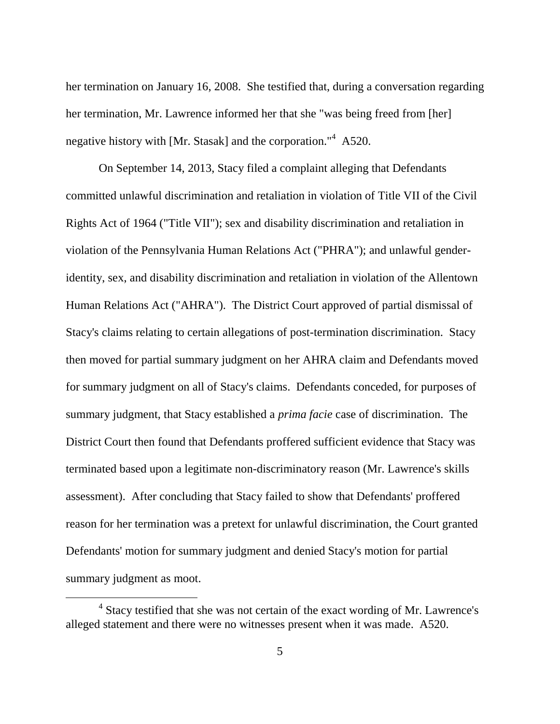her termination on January 16, 2008. She testified that, during a conversation regarding her termination, Mr. Lawrence informed her that she "was being freed from [her] negative history with [Mr. Stasak] and the corporation."<sup>4</sup> A520.

On September 14, 2013, Stacy filed a complaint alleging that Defendants committed unlawful discrimination and retaliation in violation of Title VII of the Civil Rights Act of 1964 ("Title VII"); sex and disability discrimination and retaliation in violation of the Pennsylvania Human Relations Act ("PHRA"); and unlawful genderidentity, sex, and disability discrimination and retaliation in violation of the Allentown Human Relations Act ("AHRA"). The District Court approved of partial dismissal of Stacy's claims relating to certain allegations of post-termination discrimination. Stacy then moved for partial summary judgment on her AHRA claim and Defendants moved for summary judgment on all of Stacy's claims. Defendants conceded, for purposes of summary judgment, that Stacy established a *prima facie* case of discrimination. The District Court then found that Defendants proffered sufficient evidence that Stacy was terminated based upon a legitimate non-discriminatory reason (Mr. Lawrence's skills assessment). After concluding that Stacy failed to show that Defendants' proffered reason for her termination was a pretext for unlawful discrimination, the Court granted Defendants' motion for summary judgment and denied Stacy's motion for partial summary judgment as moot.

<sup>&</sup>lt;sup>4</sup> Stacy testified that she was not certain of the exact wording of Mr. Lawrence's alleged statement and there were no witnesses present when it was made. A520.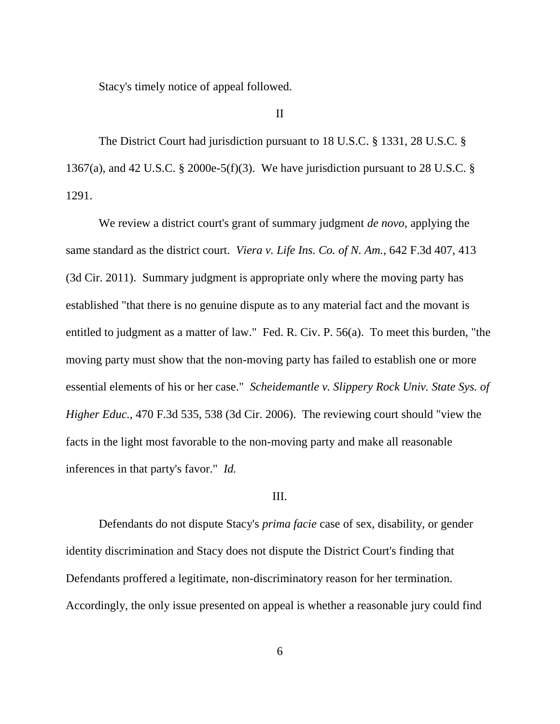Stacy's timely notice of appeal followed.

#### II

The District Court had jurisdiction pursuant to 18 U.S.C. § 1331, 28 U.S.C. § 1367(a), and 42 U.S.C. § 2000e-5(f)(3). We have jurisdiction pursuant to 28 U.S.C. § 1291.

We review a district court's grant of summary judgment *de novo*, applying the same standard as the district court. *Viera v. Life Ins. Co. of N. Am.*, 642 F.3d 407, 413 (3d Cir. 2011). Summary judgment is appropriate only where the moving party has established "that there is no genuine dispute as to any material fact and the movant is entitled to judgment as a matter of law." Fed. R. Civ. P. 56(a). To meet this burden, "the moving party must show that the non-moving party has failed to establish one or more essential elements of his or her case." *Scheidemantle v. Slippery Rock Univ. State Sys. of Higher Educ.*, 470 F.3d 535, 538 (3d Cir. 2006). The reviewing court should "view the facts in the light most favorable to the non-moving party and make all reasonable inferences in that party's favor." *Id.*

#### III.

Defendants do not dispute Stacy's *prima facie* case of sex, disability, or gender identity discrimination and Stacy does not dispute the District Court's finding that Defendants proffered a legitimate, non-discriminatory reason for her termination. Accordingly, the only issue presented on appeal is whether a reasonable jury could find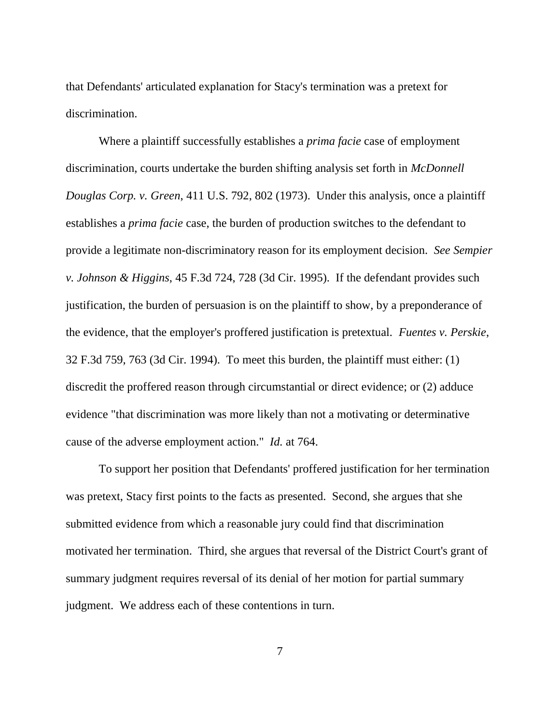that Defendants' articulated explanation for Stacy's termination was a pretext for discrimination.

Where a plaintiff successfully establishes a *prima facie* case of employment discrimination, courts undertake the burden shifting analysis set forth in *McDonnell Douglas Corp. v. Green*, 411 U.S. 792, 802 (1973). Under this analysis, once a plaintiff establishes a *prima facie* case, the burden of production switches to the defendant to provide a legitimate non-discriminatory reason for its employment decision. *See Sempier v. Johnson & Higgins*, 45 F.3d 724, 728 (3d Cir. 1995). If the defendant provides such justification, the burden of persuasion is on the plaintiff to show, by a preponderance of the evidence, that the employer's proffered justification is pretextual. *Fuentes v. Perskie*, 32 F.3d 759, 763 (3d Cir. 1994). To meet this burden, the plaintiff must either: (1) discredit the proffered reason through circumstantial or direct evidence; or (2) adduce evidence "that discrimination was more likely than not a motivating or determinative cause of the adverse employment action." *Id.* at 764.

To support her position that Defendants' proffered justification for her termination was pretext, Stacy first points to the facts as presented. Second, she argues that she submitted evidence from which a reasonable jury could find that discrimination motivated her termination. Third, she argues that reversal of the District Court's grant of summary judgment requires reversal of its denial of her motion for partial summary judgment. We address each of these contentions in turn.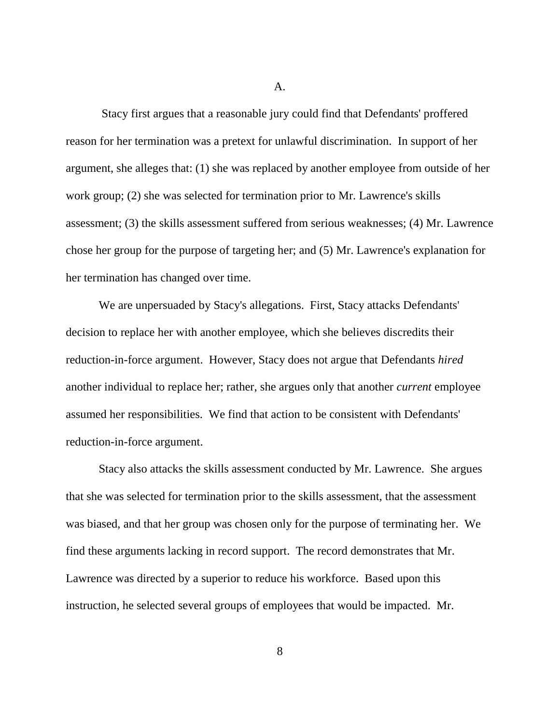A.

Stacy first argues that a reasonable jury could find that Defendants' proffered reason for her termination was a pretext for unlawful discrimination. In support of her argument, she alleges that: (1) she was replaced by another employee from outside of her work group; (2) she was selected for termination prior to Mr. Lawrence's skills assessment; (3) the skills assessment suffered from serious weaknesses; (4) Mr. Lawrence chose her group for the purpose of targeting her; and (5) Mr. Lawrence's explanation for her termination has changed over time.

We are unpersuaded by Stacy's allegations. First, Stacy attacks Defendants' decision to replace her with another employee, which she believes discredits their reduction-in-force argument. However, Stacy does not argue that Defendants *hired* another individual to replace her; rather, she argues only that another *current* employee assumed her responsibilities. We find that action to be consistent with Defendants' reduction-in-force argument.

Stacy also attacks the skills assessment conducted by Mr. Lawrence. She argues that she was selected for termination prior to the skills assessment, that the assessment was biased, and that her group was chosen only for the purpose of terminating her. We find these arguments lacking in record support. The record demonstrates that Mr. Lawrence was directed by a superior to reduce his workforce. Based upon this instruction, he selected several groups of employees that would be impacted. Mr.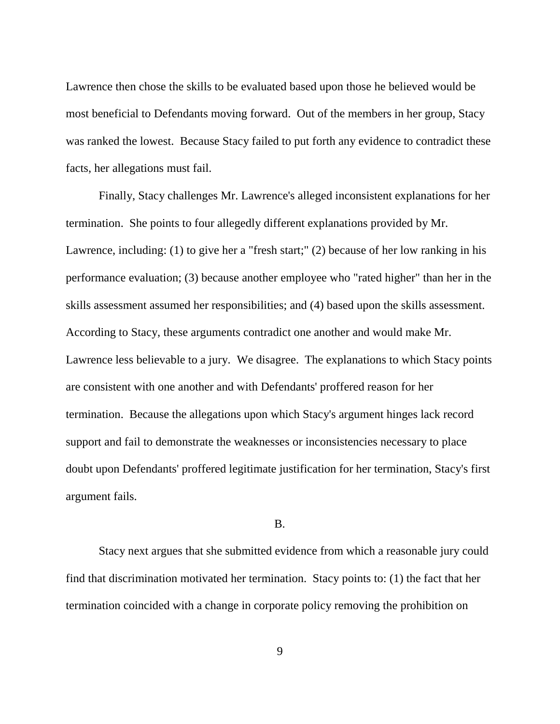Lawrence then chose the skills to be evaluated based upon those he believed would be most beneficial to Defendants moving forward. Out of the members in her group, Stacy was ranked the lowest. Because Stacy failed to put forth any evidence to contradict these facts, her allegations must fail.

Finally, Stacy challenges Mr. Lawrence's alleged inconsistent explanations for her termination. She points to four allegedly different explanations provided by Mr. Lawrence, including: (1) to give her a "fresh start;" (2) because of her low ranking in his performance evaluation; (3) because another employee who "rated higher" than her in the skills assessment assumed her responsibilities; and (4) based upon the skills assessment. According to Stacy, these arguments contradict one another and would make Mr. Lawrence less believable to a jury. We disagree. The explanations to which Stacy points are consistent with one another and with Defendants' proffered reason for her termination. Because the allegations upon which Stacy's argument hinges lack record support and fail to demonstrate the weaknesses or inconsistencies necessary to place doubt upon Defendants' proffered legitimate justification for her termination, Stacy's first argument fails.

B.

Stacy next argues that she submitted evidence from which a reasonable jury could find that discrimination motivated her termination. Stacy points to: (1) the fact that her termination coincided with a change in corporate policy removing the prohibition on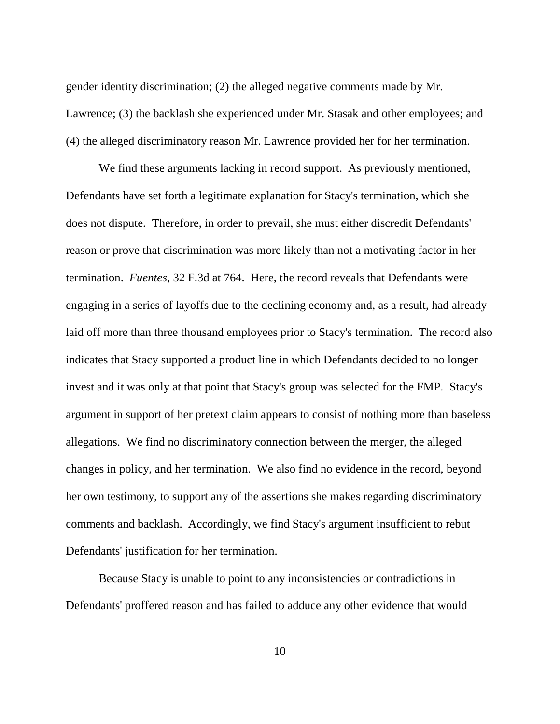gender identity discrimination; (2) the alleged negative comments made by Mr. Lawrence; (3) the backlash she experienced under Mr. Stasak and other employees; and (4) the alleged discriminatory reason Mr. Lawrence provided her for her termination.

We find these arguments lacking in record support. As previously mentioned, Defendants have set forth a legitimate explanation for Stacy's termination, which she does not dispute. Therefore, in order to prevail, she must either discredit Defendants' reason or prove that discrimination was more likely than not a motivating factor in her termination. *Fuentes*, 32 F.3d at 764. Here, the record reveals that Defendants were engaging in a series of layoffs due to the declining economy and, as a result, had already laid off more than three thousand employees prior to Stacy's termination. The record also indicates that Stacy supported a product line in which Defendants decided to no longer invest and it was only at that point that Stacy's group was selected for the FMP. Stacy's argument in support of her pretext claim appears to consist of nothing more than baseless allegations. We find no discriminatory connection between the merger, the alleged changes in policy, and her termination. We also find no evidence in the record, beyond her own testimony, to support any of the assertions she makes regarding discriminatory comments and backlash. Accordingly, we find Stacy's argument insufficient to rebut Defendants' justification for her termination.

Because Stacy is unable to point to any inconsistencies or contradictions in Defendants' proffered reason and has failed to adduce any other evidence that would